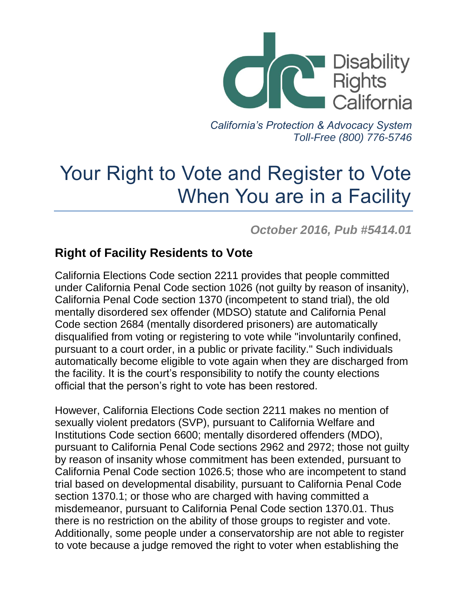

*California's Protection & Advocacy System Toll-Free (800) 776-5746*

# Your Right to Vote and Register to Vote When You are in a Facility

*October 2016, Pub #5414.01*

### **Right of Facility Residents to Vote**

California Elections Code section 2211 provides that people committed under California Penal Code section 1026 (not guilty by reason of insanity), California Penal Code section 1370 (incompetent to stand trial), the old mentally disordered sex offender (MDSO) statute and California Penal Code section 2684 (mentally disordered prisoners) are automatically disqualified from voting or registering to vote while "involuntarily confined, pursuant to a court order, in a public or private facility." Such individuals automatically become eligible to vote again when they are discharged from the facility. It is the court's responsibility to notify the county elections official that the person's right to vote has been restored.

However, California Elections Code section 2211 makes no mention of sexually violent predators (SVP), pursuant to California Welfare and Institutions Code section 6600; mentally disordered offenders (MDO), pursuant to California Penal Code sections 2962 and 2972; those not guilty by reason of insanity whose commitment has been extended, pursuant to California Penal Code section 1026.5; those who are incompetent to stand trial based on developmental disability, pursuant to California Penal Code section 1370.1; or those who are charged with having committed a misdemeanor, pursuant to California Penal Code section 1370.01. Thus there is no restriction on the ability of those groups to register and vote. Additionally, some people under a conservatorship are not able to register to vote because a judge removed the right to voter when establishing the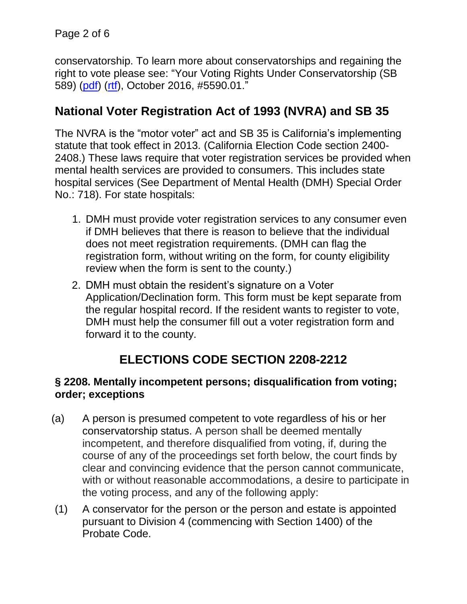conservatorship. To learn more about conservatorships and regaining the right to vote please see: "Your Voting Rights Under Conservatorship (SB 589) [\(pdf\)](http://www.disabilityrightsca.org/pubs/559001.pdf) [\(rtf\)](http://www.disabilityrightsca.org/pubs/559001.rtf), October 2016, #5590.01."

## **National Voter Registration Act of 1993 (NVRA) and SB 35**

The NVRA is the "motor voter" act and SB 35 is California's implementing statute that took effect in 2013. (California Election Code section 2400- 2408.) These laws require that voter registration services be provided when mental health services are provided to consumers. This includes state hospital services (See Department of Mental Health (DMH) Special Order No.: 718). For state hospitals:

- 1. DMH must provide voter registration services to any consumer even if DMH believes that there is reason to believe that the individual does not meet registration requirements. (DMH can flag the registration form, without writing on the form, for county eligibility review when the form is sent to the county.)
- 2. DMH must obtain the resident's signature on a Voter Application/Declination form. This form must be kept separate from the regular hospital record. If the resident wants to register to vote, DMH must help the consumer fill out a voter registration form and forward it to the county.

# **ELECTIONS CODE SECTION 2208-2212**

#### **§ 2208. Mentally incompetent persons; disqualification from voting; order; exceptions**

- (a) A person is presumed competent to vote regardless of his or her conservatorship status. A person shall be deemed mentally incompetent, and therefore disqualified from voting, if, during the course of any of the proceedings set forth below, the court finds by clear and convincing evidence that the person cannot communicate, with or without reasonable accommodations, a desire to participate in the voting process, and any of the following apply:
- (1) A conservator for the person or the person and estate is appointed pursuant to Division 4 (commencing with Section 1400) of the Probate Code.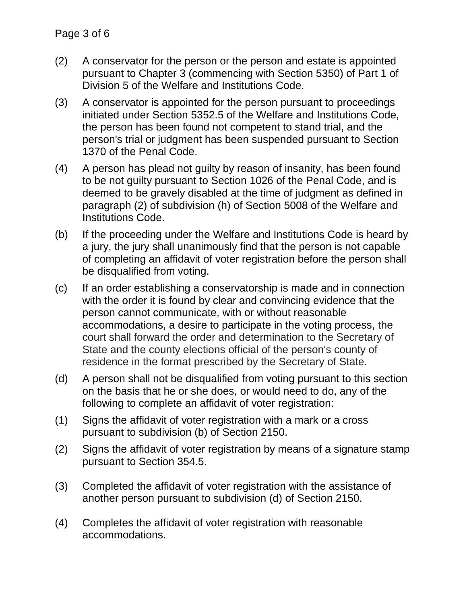- (2) A conservator for the person or the person and estate is appointed pursuant to Chapter 3 (commencing with Section 5350) of Part 1 of Division 5 of the Welfare and Institutions Code.
- (3) A conservator is appointed for the person pursuant to proceedings initiated under Section 5352.5 of the Welfare and Institutions Code, the person has been found not competent to stand trial, and the person's trial or judgment has been suspended pursuant to Section 1370 of the Penal Code.
- (4) A person has plead not guilty by reason of insanity, has been found to be not guilty pursuant to Section 1026 of the Penal Code, and is deemed to be gravely disabled at the time of judgment as defined in paragraph (2) of subdivision (h) of Section 5008 of the Welfare and Institutions Code.
- (b) If the proceeding under the Welfare and Institutions Code is heard by a jury, the jury shall unanimously find that the person is not capable of completing an affidavit of voter registration before the person shall be disqualified from voting.
- (c) If an order establishing a conservatorship is made and in connection with the order it is found by clear and convincing evidence that the person cannot communicate, with or without reasonable accommodations, a desire to participate in the voting process, the court shall forward the order and determination to the Secretary of State and the county elections official of the person's county of residence in the format prescribed by the Secretary of State.
- (d) A person shall not be disqualified from voting pursuant to this section on the basis that he or she does, or would need to do, any of the following to complete an affidavit of voter registration:
- (1) Signs the affidavit of voter registration with a mark or a cross pursuant to subdivision (b) of Section 2150.
- (2) Signs the affidavit of voter registration by means of a signature stamp pursuant to Section 354.5.
- (3) Completed the affidavit of voter registration with the assistance of another person pursuant to subdivision (d) of Section 2150.
- (4) Completes the affidavit of voter registration with reasonable accommodations.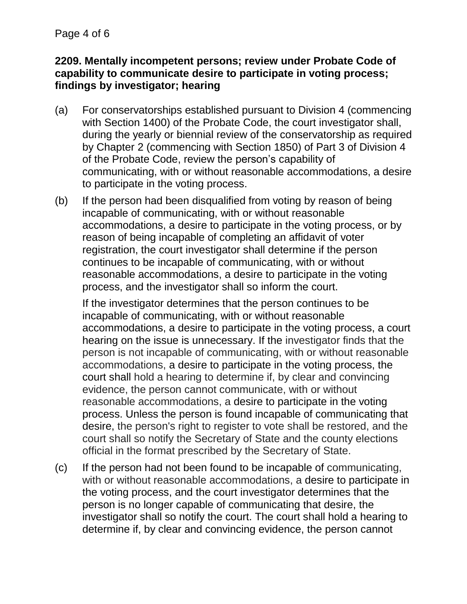#### **2209. Mentally incompetent persons; review under Probate Code of capability to communicate desire to participate in voting process; findings by investigator; hearing**

- (a) For conservatorships established pursuant to Division 4 (commencing with Section 1400) of the Probate Code, the court investigator shall, during the yearly or biennial review of the conservatorship as required by Chapter 2 (commencing with Section 1850) of Part 3 of Division 4 of the Probate Code, review the person's capability of communicating, with or without reasonable accommodations, a desire to participate in the voting process.
- (b) If the person had been disqualified from voting by reason of being incapable of communicating, with or without reasonable accommodations, a desire to participate in the voting process, or by reason of being incapable of completing an affidavit of voter registration, the court investigator shall determine if the person continues to be incapable of communicating, with or without reasonable accommodations, a desire to participate in the voting process, and the investigator shall so inform the court.

If the investigator determines that the person continues to be incapable of communicating, with or without reasonable accommodations, a desire to participate in the voting process, a court hearing on the issue is unnecessary. If the investigator finds that the person is not incapable of communicating, with or without reasonable accommodations, a desire to participate in the voting process, the court shall hold a hearing to determine if, by clear and convincing evidence, the person cannot communicate, with or without reasonable accommodations, a desire to participate in the voting process. Unless the person is found incapable of communicating that desire, the person's right to register to vote shall be restored, and the court shall so notify the Secretary of State and the county elections official in the format prescribed by the Secretary of State.

(c) If the person had not been found to be incapable of communicating, with or without reasonable accommodations, a desire to participate in the voting process, and the court investigator determines that the person is no longer capable of communicating that desire, the investigator shall so notify the court. The court shall hold a hearing to determine if, by clear and convincing evidence, the person cannot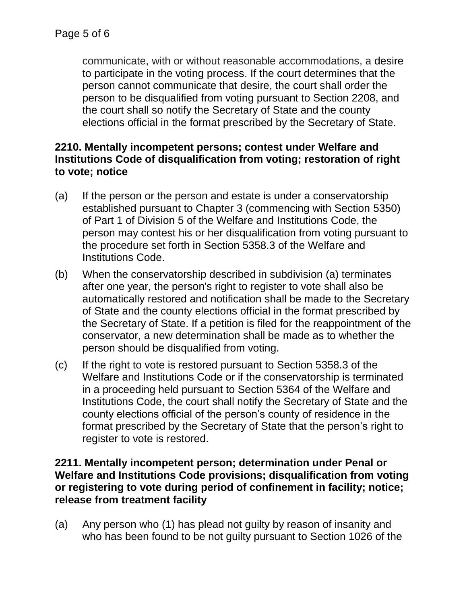communicate, with or without reasonable accommodations, a desire to participate in the voting process. If the court determines that the person cannot communicate that desire, the court shall order the person to be disqualified from voting pursuant to Section 2208, and the court shall so notify the Secretary of State and the county elections official in the format prescribed by the Secretary of State.

#### **2210. Mentally incompetent persons; contest under Welfare and Institutions Code of disqualification from voting; restoration of right to vote; notice**

- (a) If the person or the person and estate is under a conservatorship established pursuant to Chapter 3 (commencing with Section 5350) of Part 1 of Division 5 of the Welfare and Institutions Code, the person may contest his or her disqualification from voting pursuant to the procedure set forth in Section 5358.3 of the Welfare and Institutions Code.
- (b) When the conservatorship described in subdivision (a) terminates after one year, the person's right to register to vote shall also be automatically restored and notification shall be made to the Secretary of State and the county elections official in the format prescribed by the Secretary of State. If a petition is filed for the reappointment of the conservator, a new determination shall be made as to whether the person should be disqualified from voting.
- (c) If the right to vote is restored pursuant to Section 5358.3 of the Welfare and Institutions Code or if the conservatorship is terminated in a proceeding held pursuant to Section 5364 of the Welfare and Institutions Code, the court shall notify the Secretary of State and the county elections official of the person's county of residence in the format prescribed by the Secretary of State that the person's right to register to vote is restored.

#### **2211. Mentally incompetent person; determination under Penal or Welfare and Institutions Code provisions; disqualification from voting or registering to vote during period of confinement in facility; notice; release from treatment facility**

(a) Any person who (1) has plead not guilty by reason of insanity and who has been found to be not guilty pursuant to Section 1026 of the